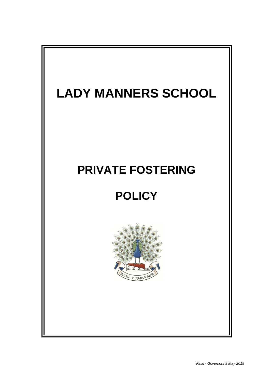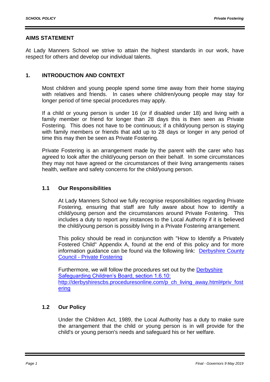### **AIMS STATEMENT**

At Lady Manners School we strive to attain the highest standards in our work, have respect for others and develop our individual talents.

### **1. INTRODUCTION AND CONTEXT**

Most children and young people spend some time away from their home staying with relatives and friends. In cases where children/young people may stay for longer period of time special procedures may apply.

If a child or young person is under 16 (or if disabled under 18) and living with a family member or friend for longer than 28 days this is then seen as Private Fostering. This does not have to be continuous; if a child/young person is staying with family members or friends that add up to 28 days or longer in any period of time this may then be seen as Private Fostering.

Private Fostering is an arrangement made by the parent with the carer who has agreed to look after the child/young person on their behalf. In some circumstances they may not have agreed or the circumstances of their living arrangements raises health, welfare and safety concerns for the child/young person.

#### **1.1 Our Responsibilities**

At Lady Manners School we fully recognise responsibilities regarding Private Fostering, ensuring that staff are fully aware about how to identify a child/young person and the circumstances around Private Fostering. This includes a duty to report any instances to the Local Authority if it is believed the child/young person is possibly living in a Private Fostering arrangement.

This policy should be read in conjunction with "How to Identify a Privately Fostered Child" Appendix A, found at the end of this policy and for more information guidance can be found via the following link: [Derbyshire County](http://www.derbyshire.gov.uk/social_health/children_and_families/adoption_and_fostering/fostering/become_foster_carer/types_fostering/private_fostering/default.asp)  Council - [Private Fostering](http://www.derbyshire.gov.uk/social_health/children_and_families/adoption_and_fostering/fostering/become_foster_carer/types_fostering/private_fostering/default.asp)

Furthermore, we will follow the procedures set out by the [Derbyshire](http://derbyshirescbs.proceduresonline.com/p_ch_living_away.html#priv_fostering)  [Safeguarding Children's Board, section 1.6.10:](http://derbyshirescbs.proceduresonline.com/p_ch_living_away.html#priv_fostering)  [http://derbyshirescbs.proceduresonline.com/p\\_ch\\_living\\_away.html#priv\\_fost](http://derbyshirescbs.proceduresonline.com/p_ch_living_away.html#priv_fostering) [ering](http://derbyshirescbs.proceduresonline.com/p_ch_living_away.html#priv_fostering)

### **1.2 Our Policy**

Under the Children Act, 1989, the Local Authority has a duty to make sure the arrangement that the child or young person is in will provide for the child's or young person's needs and safeguard his or her welfare.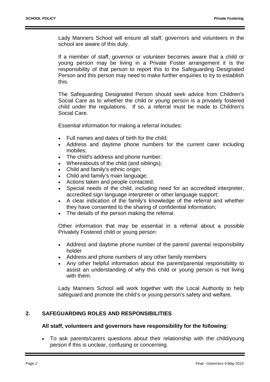Lady Manners School will ensure all staff, governors and volunteers in the school are aware of this duty.

If a member of staff, governor or volunteer becomes aware that a child or young person may be living in a Private Foster arrangement it is the responsibility of that person to report this to the Safeguarding Designated Person and this person may need to make further enquiries to try to establish this.

The Safeguarding Designated Person should seek advice from Children's Social Care as to whether the child or young person is a privately fostered child under the regulations. If so, a referral must be made to Children's Social Care.

Essential information for making a referral includes:

- Full names and dates of birth for the child:
- Address and daytime phone numbers for the current carer including mobiles;
- The child's address and phone number;
- Whereabouts of the child (and siblings);
- Child and family's ethnic origin;
- Child and family's main language;
- Actions taken and people contacted:
- Special needs of the child, including need for an accredited interpreter, accredited sign language interpreter or other language support;
- A clear indication of the family's knowledge of the referral and whether they have consented to the sharing of confidential information;
- The details of the person making the referral.

Other information that may be essential in a referral about a possible Privately Fostered child or young person:

- Address and daytime phone number of the parent/ parental responsibility holder
- Address and phone numbers of any other family members
- Any other helpful information about the parent/parental responsibility to assist an understanding of why this child or young person is not living with them.

Lady Manners School will work together with the Local Authority to help safeguard and promote the child's or young person's safety and welfare.

### **2. SAFEGUARDING ROLES AND RESPONSIBILITIES**

#### **All staff, volunteers and governors have responsibility for the following**:

 To ask parents/carers questions about their relationship with the child/young person if this is unclear, confusing or concerning.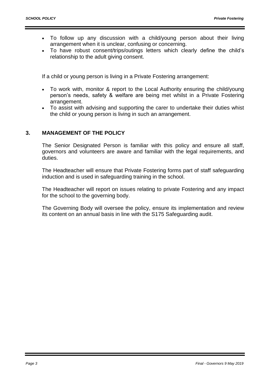- To follow up any discussion with a child/young person about their living arrangement when it is unclear, confusing or concerning.
- To have robust consent/trips/outings letters which clearly define the child's relationship to the adult giving consent.

If a child or young person is living in a Private Fostering arrangement:

- To work with, monitor & report to the Local Authority ensuring the child/young person's needs, safety & welfare are being met whilst in a Private Fostering arrangement.
- To assist with advising and supporting the carer to undertake their duties whist the child or young person is living in such an arrangement.

# **3. MANAGEMENT OF THE POLICY**

The Senior Designated Person is familiar with this policy and ensure all staff, governors and volunteers are aware and familiar with the legal requirements, and duties.

The Headteacher will ensure that Private Fostering forms part of staff safeguarding induction and is used in safeguarding training in the school.

The Headteacher will report on issues relating to private Fostering and any impact for the school to the governing body.

The Governing Body will oversee the policy, ensure its implementation and review its content on an annual basis in line with the S175 Safeguarding audit.